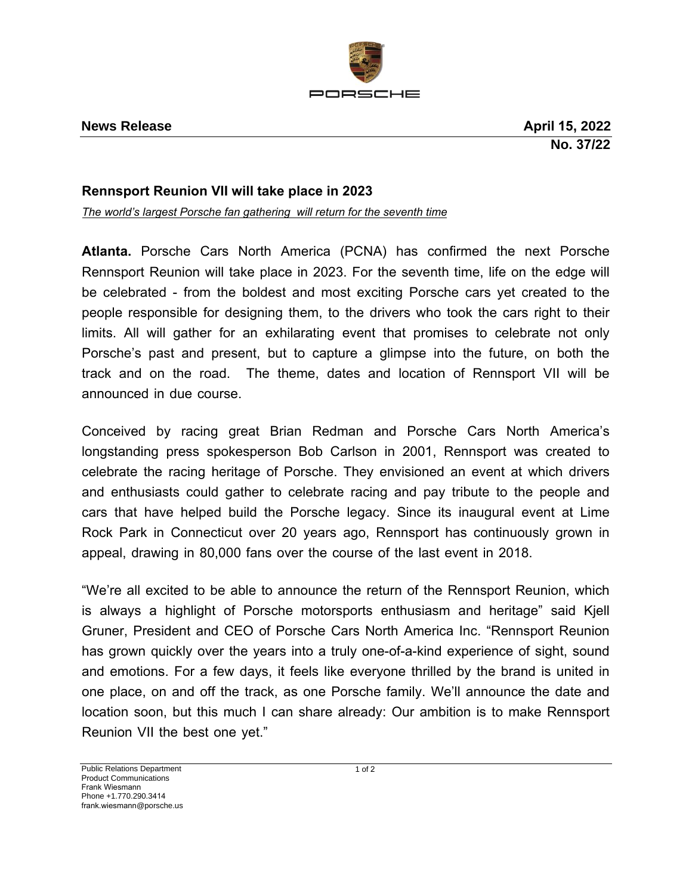

## **Rennsport Reunion VII will take place in 2023**

*The world's largest Porsche fan gathering will return for the seventh time*

**Atlanta.** Porsche Cars North America (PCNA) has confirmed the next Porsche Rennsport Reunion will take place in 2023. For the seventh time, life on the edge will be celebrated - from the boldest and most exciting Porsche cars yet created to the people responsible for designing them, to the drivers who took the cars right to their limits. All will gather for an exhilarating event that promises to celebrate not only Porsche's past and present, but to capture a glimpse into the future, on both the track and on the road. The theme, dates and location of Rennsport VII will be announced in due course.

Conceived by racing great Brian Redman and Porsche Cars North America's longstanding press spokesperson Bob Carlson in 2001, Rennsport was created to celebrate the racing heritage of Porsche. They envisioned an event at which drivers and enthusiasts could gather to celebrate racing and pay tribute to the people and cars that have helped build the Porsche legacy. Since its inaugural event at Lime Rock Park in Connecticut over 20 years ago, Rennsport has continuously grown in appeal, drawing in 80,000 fans over the course of the last event in 2018.

"We're all excited to be able to announce the return of the Rennsport Reunion, which is always a highlight of Porsche motorsports enthusiasm and heritage" said Kjell Gruner, President and CEO of Porsche Cars North America Inc. "Rennsport Reunion has grown quickly over the years into a truly one-of-a-kind experience of sight, sound and emotions. For a few days, it feels like everyone thrilled by the brand is united in one place, on and off the track, as one Porsche family. We'll announce the date and location soon, but this much I can share already: Our ambition is to make Rennsport Reunion VII the best one yet."